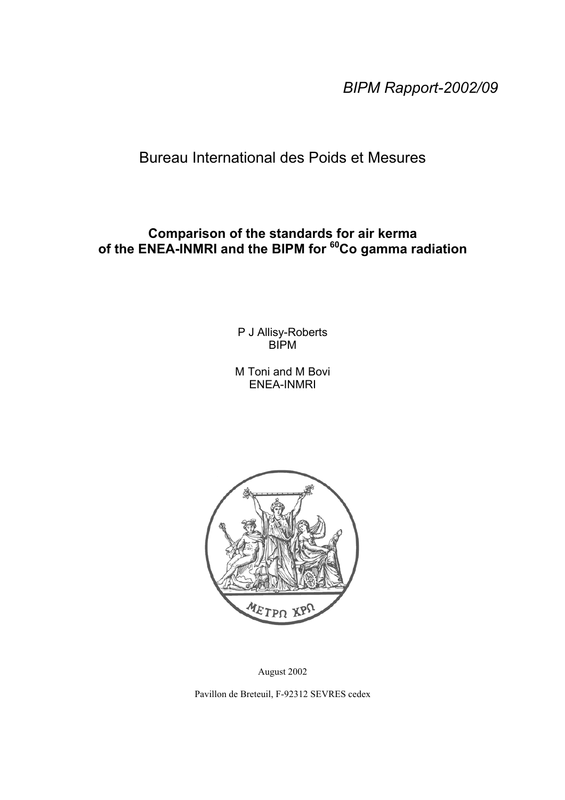*BIPM Rapport-2002/09*

Bureau International des Poids et Mesures

## **Comparison of the standards for air kerma of the ENEA-INMRI and the BIPM for 60Co gamma radiation**

P J Allisy-Roberts BIPM

M Toni and M Bovi ENEA-INMRI



August 2002

Pavillon de Breteuil, F-92312 SEVRES cedex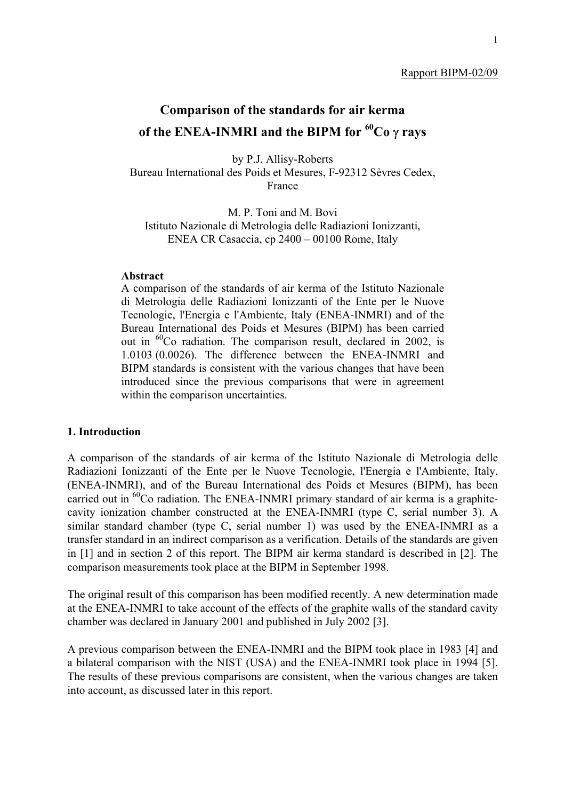#### Rapport BIPM-02/09

# **Comparison of the standards for air kerma of the ENEA-INMRI and the BIPM for 60Co** γ **rays**

by P.J. Allisy-Roberts Bureau International des Poids et Mesures, F-92312 Sèvres Cedex, France

M. P. Toni and M. Bovi Istituto Nazionale di Metrologia delle Radiazioni Ionizzanti, ENEA CR Casaccia, cp 2400 – 00100 Rome, Italy

#### **Abstract**

A comparison of the standards of air kerma of the Istituto Nazionale di Metrologia delle Radiazioni Ionizzanti of the Ente per le Nuove Tecnologie, l'Energia e l'Ambiente, Italy (ENEA-INMRI) and of the Bureau International des Poids et Mesures (BIPM) has been carried out in 60Co radiation. The comparison result, declared in 2002, is 1.0103 (0.0026). The difference between the ENEA-INMRI and BIPM standards is consistent with the various changes that have been introduced since the previous comparisons that were in agreement within the comparison uncertainties.

## **1. Introduction**

A comparison of the standards of air kerma of the Istituto Nazionale di Metrologia delle Radiazioni Ionizzanti of the Ente per le Nuove Tecnologie, l'Energia e l'Ambiente, Italy, (ENEA-INMRI), and of the Bureau International des Poids et Mesures (BIPM), has been carried out in  ${}^{60}$ Co radiation. The ENEA-INMRI primary standard of air kerma is a graphitecavity ionization chamber constructed at the ENEA-INMRI (type C, serial number 3). A similar standard chamber (type C, serial number 1) was used by the ENEA-INMRI as a transfer standard in an indirect comparison as a verification. Details of the standards are given in [1] and in section 2 of this report. The BIPM air kerma standard is described in [2]. The comparison measurements took place at the BIPM in September 1998.

The original result of this comparison has been modified recently. A new determination made at the ENEA-INMRI to take account of the effects of the graphite walls of the standard cavity chamber was declared in January 2001 and published in July 2002 [3].

A previous comparison between the ENEA-INMRI and the BIPM took place in 1983 [4] and a bilateral comparison with the NIST (USA) and the ENEA-INMRI took place in 1994 [5]. The results of these previous comparisons are consistent, when the various changes are taken into account, as discussed later in this report.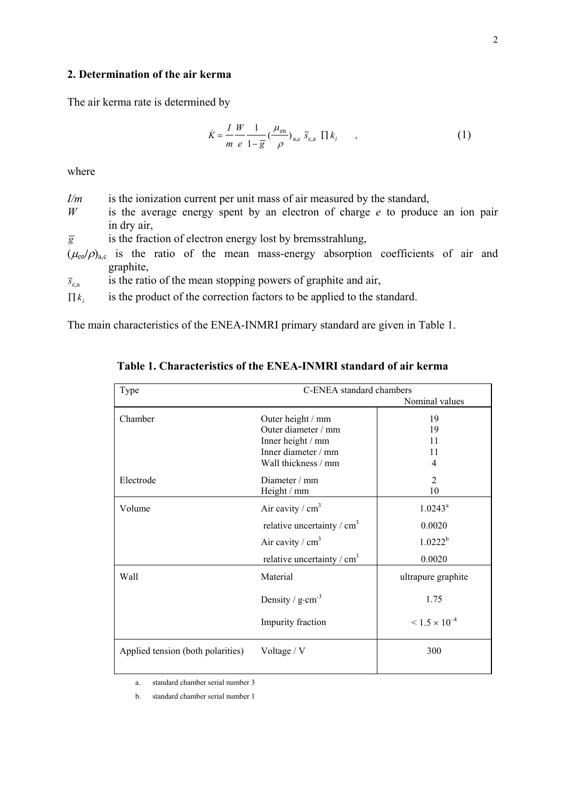### **2. Determination of the air kerma**

The air kerma rate is determined by

$$
\dot{K} = \frac{I}{m} \frac{W}{e} \frac{1}{1 - \overline{g}} \left(\frac{\mu_{\text{en}}}{\rho}\right)_{\text{a,c}} \overline{s}_{\text{c,a}} \prod k_i \tag{1}
$$

where

- *I/m* is the ionization current per unit mass of air measured by the standard,
- *W* is the average energy spent by an electron of charge *e* to produce an ion pair in dry air,
- $\overline{g}$  is the fraction of electron energy lost by bremsstrahlung,
- $(\mu_{en}/\rho)_{a,c}$  is the ratio of the mean mass-energy absorption coefficients of air and graphite,
- $\bar{s}_{ca}$  is the ratio of the mean stopping powers of graphite and air,
- $\prod k_i$  is the product of the correction factors to be applied to the standard.

The main characteristics of the ENEA-INMRI primary standard are given in Table 1.

**Table 1. Characteristics of the ENEA-INMRI standard of air kerma**

| Type                              | C-ENEA standard chambers                 |                           |  |  |  |
|-----------------------------------|------------------------------------------|---------------------------|--|--|--|
|                                   |                                          | Nominal values            |  |  |  |
| Chamber                           | Outer height / mm<br>Outer diameter / mm | 19<br>19                  |  |  |  |
|                                   | Inner height / mm                        | 11                        |  |  |  |
|                                   | Inner diameter / mm                      | 11                        |  |  |  |
|                                   | Wall thickness / mm                      | 4                         |  |  |  |
| Electrode                         | Diameter $/mm$                           | $\overline{2}$            |  |  |  |
|                                   | Height / mm                              | 10                        |  |  |  |
| Volume                            | Air cavity / $cm3$                       | $1.0243^a$                |  |  |  |
|                                   | relative uncertainty / $cm3$             | 0.0020                    |  |  |  |
|                                   | Air cavity / $cm3$                       | $1.0222^b$                |  |  |  |
|                                   | relative uncertainty / $cm3$             | 0.0020                    |  |  |  |
| Wall                              | Material                                 | ultrapure graphite        |  |  |  |
|                                   | Density / $g \cdot cm^{-3}$              | 1.75                      |  |  |  |
|                                   | Impurity fraction                        | $\leq 1.5 \times 10^{-4}$ |  |  |  |
| Applied tension (both polarities) | Voltage / V                              | 300                       |  |  |  |

a. standard chamber serial number 3

b. standard chamber serial number 1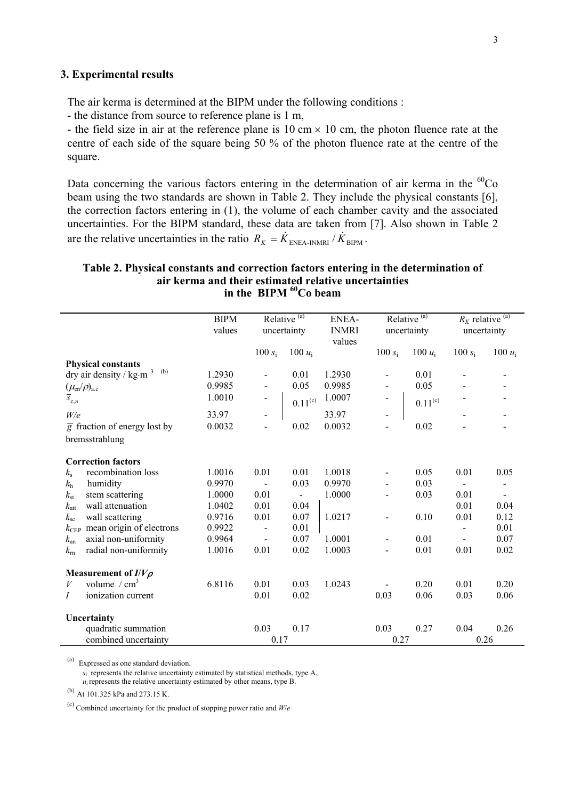#### **3. Experimental results**

The air kerma is determined at the BIPM under the following conditions :

- the distance from source to reference plane is 1 m,

- the field size in air at the reference plane is  $10 \text{ cm} \times 10 \text{ cm}$ , the photon fluence rate at the centre of each side of the square being 50 % of the photon fluence rate at the centre of the square.

Data concerning the various factors entering in the determination of air kerma in the  ${}^{60}Co$ beam using the two standards are shown in Table 2. They include the physical constants [6], the correction factors entering in (1), the volume of each chamber cavity and the associated uncertainties. For the BIPM standard, these data are taken from [7]. Also shown in Table 2 are the relative uncertainties in the ratio  $R_K = \dot{K}_{ENEA-INMRI} / \dot{K}_{BIPM}$ .

### **Table 2. Physical constants and correction factors entering in the determination of air kerma and their estimated relative uncertainties** in the BIPM <sup>60</sup>Co beam

|                      |                                                     | <b>BIPM</b><br>values |           | Relative <sup>(a)</sup><br>uncertainty | <b>ENEA-</b><br><b>INMRI</b> |           | Relative <sup>(a)</sup><br>uncertainty | uncertainty | $R_K$ relative $\overline{^{(a)}}$ |
|----------------------|-----------------------------------------------------|-----------------------|-----------|----------------------------------------|------------------------------|-----------|----------------------------------------|-------------|------------------------------------|
|                      |                                                     |                       | 100 $s_i$ | 100 $u_i$                              | values                       | 100 $s_i$ | 100 $u_i$                              | 100 $s_i$   | 100 $u_i$                          |
|                      | <b>Physical constants</b>                           |                       |           |                                        |                              |           |                                        |             |                                    |
|                      | dry air density / $\text{kg}\cdot\text{m}^{-3}$ (b) | 1.2930                |           | 0.01                                   | 1.2930                       |           | 0.01                                   |             |                                    |
|                      | $(\mu_{\rm en}/\rho)_{\rm a.c}$                     | 0.9985                |           | 0.05                                   | 0.9985                       |           | 0.05                                   |             |                                    |
| $\overline{s}_{c,a}$ |                                                     | 1.0010                |           | $0.11^{\rm (c)}$                       | 1.0007                       |           | $0.11^{(c)}$                           |             |                                    |
| W/e                  |                                                     | 33.97                 |           |                                        | 33.97                        |           |                                        |             |                                    |
|                      | $\overline{g}$ fraction of energy lost by           | 0.0032                |           | 0.02                                   | 0.0032                       |           | 0.02                                   |             |                                    |
|                      | bremsstrahlung                                      |                       |           |                                        |                              |           |                                        |             |                                    |
|                      | <b>Correction factors</b>                           |                       |           |                                        |                              |           |                                        |             |                                    |
| $k_{\rm s}$          | recombination loss                                  | 1.0016                | 0.01      | 0.01                                   | 1.0018                       |           | 0.05                                   | 0.01        | 0.05                               |
| $k_{\rm h}$          | humidity                                            | 0.9970                |           | 0.03                                   | 0.9970                       |           | 0.03                                   |             |                                    |
| $k_{\rm st}$         | stem scattering                                     | 1.0000                | 0.01      |                                        | 1.0000                       |           | 0.03                                   | 0.01        |                                    |
| $k_{\rm att}$        | wall attenuation                                    | 1.0402                | 0.01      | 0.04                                   |                              |           |                                        | 0.01        | 0.04                               |
| $k_{\rm sc}$         | wall scattering                                     | 0.9716                | 0.01      | 0.07                                   | 1.0217                       |           | 0.10                                   | 0.01        | 0.12                               |
| $k_{\rm CEP}$        | mean origin of electrons                            | 0.9922                |           | 0.01                                   |                              |           |                                        |             | 0.01                               |
| $k_{\rm an}$         | axial non-uniformity                                | 0.9964                |           | 0.07                                   | 1.0001                       |           | 0.01                                   |             | 0.07                               |
| $k_{\rm m}$          | radial non-uniformity                               | 1.0016                | 0.01      | 0.02                                   | 1.0003                       |           | 0.01                                   | 0.01        | 0.02                               |
|                      | Measurement of $I/V\rho$                            |                       |           |                                        |                              |           |                                        |             |                                    |
| V                    | volume $/cm3$                                       | 6.8116                | 0.01      | 0.03                                   | 1.0243                       |           | 0.20                                   | 0.01        | 0.20                               |
| Ι                    | ionization current                                  |                       | 0.01      | 0.02                                   |                              | 0.03      | 0.06                                   | 0.03        | 0.06                               |
| Uncertainty          |                                                     |                       |           |                                        |                              |           |                                        |             |                                    |
|                      | quadratic summation                                 |                       | 0.03      | 0.17                                   |                              | 0.03      | 0.27                                   | 0.04        | 0.26                               |
|                      | combined uncertainty                                |                       | 0.17      |                                        |                              | 0.27      |                                        | 0.26        |                                    |

(a) Expressed as one standard deviation.

 $s_i$  represents the relative uncertainty estimated by statistical methods, type A,  $u_i$  represents the relative uncertainty estimated by other means, type  $B$ .

 $(b)$  At 101.325 kPa and 273.15 K.

(c) Combined uncertainty for the product of stopping power ratio and *W*/*e*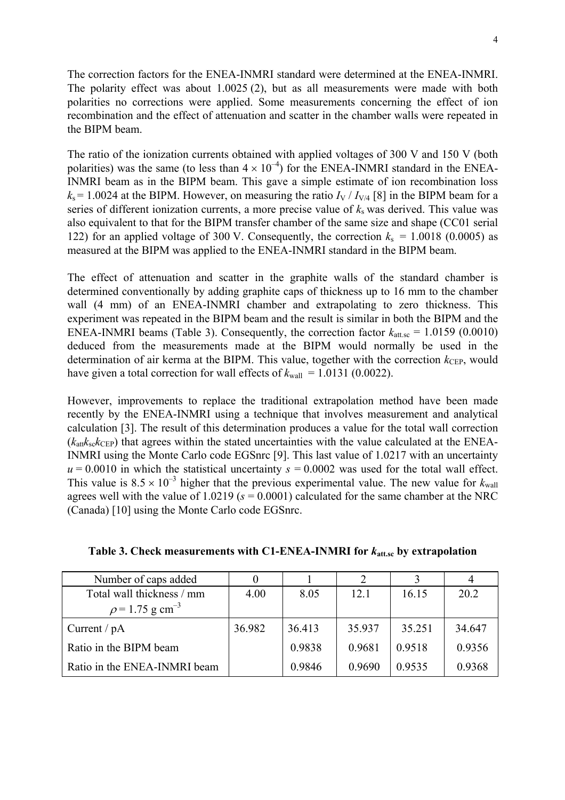The correction factors for the ENEA-INMRI standard were determined at the ENEA-INMRI. The polarity effect was about 1.0025 (2), but as all measurements were made with both polarities no corrections were applied. Some measurements concerning the effect of ion recombination and the effect of attenuation and scatter in the chamber walls were repeated in the BIPM beam.

The ratio of the ionization currents obtained with applied voltages of 300 V and 150 V (both polarities) was the same (to less than  $4 \times 10^{-4}$ ) for the ENEA-INMRI standard in the ENEA-INMRI beam as in the BIPM beam. This gave a simple estimate of ion recombination loss  $k_s$  = 1.0024 at the BIPM. However, on measuring the ratio  $I_V / I_{V/4}$  [8] in the BIPM beam for a series of different ionization currents, a more precise value of  $k<sub>s</sub>$  was derived. This value was also equivalent to that for the BIPM transfer chamber of the same size and shape (CC01 serial 122) for an applied voltage of 300 V. Consequently, the correction  $k_s = 1.0018$  (0.0005) as measured at the BIPM was applied to the ENEA-INMRI standard in the BIPM beam.

The effect of attenuation and scatter in the graphite walls of the standard chamber is determined conventionally by adding graphite caps of thickness up to 16 mm to the chamber wall (4 mm) of an ENEA-INMRI chamber and extrapolating to zero thickness. This experiment was repeated in the BIPM beam and the result is similar in both the BIPM and the ENEA-INMRI beams (Table 3). Consequently, the correction factor  $k_{\text{att.sc}} = 1.0159$  (0.0010) deduced from the measurements made at the BIPM would normally be used in the determination of air kerma at the BIPM. This value, together with the correction  $k_{\text{CEP}}$ , would have given a total correction for wall effects of  $k_{\text{wall}} = 1.0131$  (0.0022).

However, improvements to replace the traditional extrapolation method have been made recently by the ENEA-INMRI using a technique that involves measurement and analytical calculation [3]. The result of this determination produces a value for the total wall correction  $(k_{\text{att}}k_{\text{sc}}k_{\text{CFP}})$  that agrees within the stated uncertainties with the value calculated at the ENEA-INMRI using the Monte Carlo code EGSnrc [9]. This last value of 1.0217 with an uncertainty  $u = 0.0010$  in which the statistical uncertainty  $s = 0.0002$  was used for the total wall effect. This value is  $8.5 \times 10^{-3}$  higher that the previous experimental value. The new value for  $k_{\text{wall}}$ agrees well with the value of 1.0219 (*s* = 0.0001) calculated for the same chamber at the NRC (Canada) [10] using the Monte Carlo code EGSnrc.

| Number of caps added             |        |        |        |        | $\overline{4}$ |
|----------------------------------|--------|--------|--------|--------|----------------|
| Total wall thickness / mm        | 4.00   | 8.05   | 12.1   | 16.15  | 20.2           |
| $\rho$ = 1.75 g cm <sup>-3</sup> |        |        |        |        |                |
| Current / $pA$                   | 36.982 | 36.413 | 35.937 | 35.251 | 34.647         |
| Ratio in the BIPM beam           |        | 0.9838 | 0.9681 | 0.9518 | 0.9356         |
| Ratio in the ENEA-INMRI beam     |        | 0.9846 | 0.9690 | 0.9535 | 0.9368         |

**Table 3. Check measurements with C1-ENEA-INMRI for** *k***att.sc by extrapolation**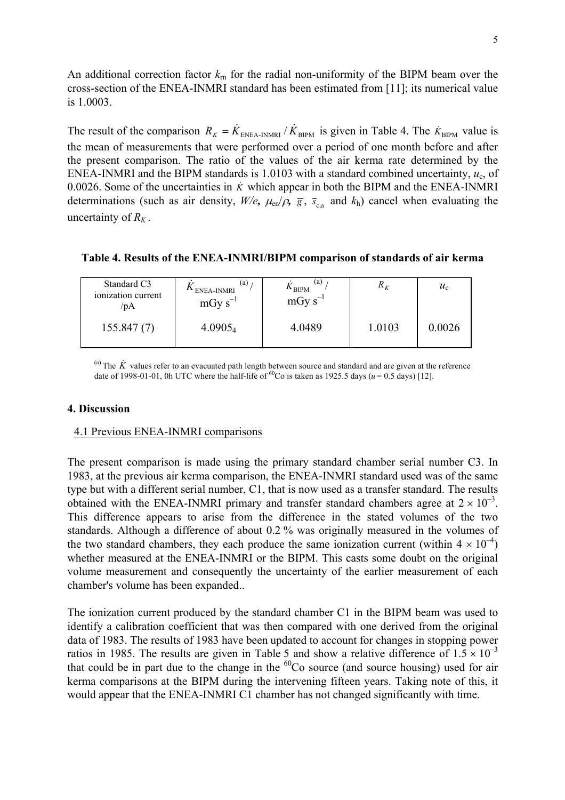An additional correction factor *k*rn for the radial non-uniformity of the BIPM beam over the cross-section of the ENEA-INMRI standard has been estimated from [11]; its numerical value is 1.0003.

The result of the comparison  $R_K = \dot{K}_{ENEA-INMRI}/\dot{K}_{BIPM}$  is given in Table 4. The  $\dot{K}_{BIPM}$  value is the mean of measurements that were performed over a period of one month before and after the present comparison. The ratio of the values of the air kerma rate determined by the ENEA-INMRI and the BIPM standards is 1.0103 with a standard combined uncertainty,  $u_c$ , of 0.0026. Some of the uncertainties in  $\dot{K}$  which appear in both the BIPM and the ENEA-INMRI determinations (such as air density,  $W/e$ *,*  $\mu_{en}/\rho$ *,*  $\bar{g}$ *,*  $\bar{s}_{ca}$  and  $k_h$ ) cancel when evaluating the uncertainty of  $R_K$ .

| Standard C3<br>ionization current<br>/pA | (a)<br><sup>11</sup> ENEA-INMRI<br>$mGy s^{-1}$ | (a)<br>$K_{\text{BIPM}}$<br>mGy $s^{-1}$ | $R_{K}$ | $u_{\rm c}$ |
|------------------------------------------|-------------------------------------------------|------------------------------------------|---------|-------------|
| 155.847(7)                               | 4.0905 <sub>4</sub>                             | 4.0489                                   | 1.0103  | 0.0026      |

(a) The  $\dot{K}$  values refer to an evacuated path length between source and standard and are given at the reference date of 1998-01-01, 0h UTC where the half-life of <sup>60</sup>Co is taken as 1925.5 days ( $u = 0.5$  days) [12].

## **4. Discussion**

## 4.1 Previous ENEA-INMRI comparisons

The present comparison is made using the primary standard chamber serial number C3. In 1983, at the previous air kerma comparison, the ENEA-INMRI standard used was of the same type but with a different serial number, C1, that is now used as a transfer standard. The results obtained with the ENEA-INMRI primary and transfer standard chambers agree at  $2 \times 10^{-3}$ . This difference appears to arise from the difference in the stated volumes of the two standards. Although a difference of about 0.2 % was originally measured in the volumes of the two standard chambers, they each produce the same ionization current (within  $4 \times 10^{-4}$ ) whether measured at the ENEA-INMRI or the BIPM. This casts some doubt on the original volume measurement and consequently the uncertainty of the earlier measurement of each chamber's volume has been expanded..

The ionization current produced by the standard chamber C1 in the BIPM beam was used to identify a calibration coefficient that was then compared with one derived from the original data of 1983. The results of 1983 have been updated to account for changes in stopping power ratios in 1985. The results are given in Table 5 and show a relative difference of  $1.5 \times 10^{-3}$ that could be in part due to the change in the  ${}^{60}Co$  source (and source housing) used for air kerma comparisons at the BIPM during the intervening fifteen years. Taking note of this, it would appear that the ENEA-INMRI C1 chamber has not changed significantly with time.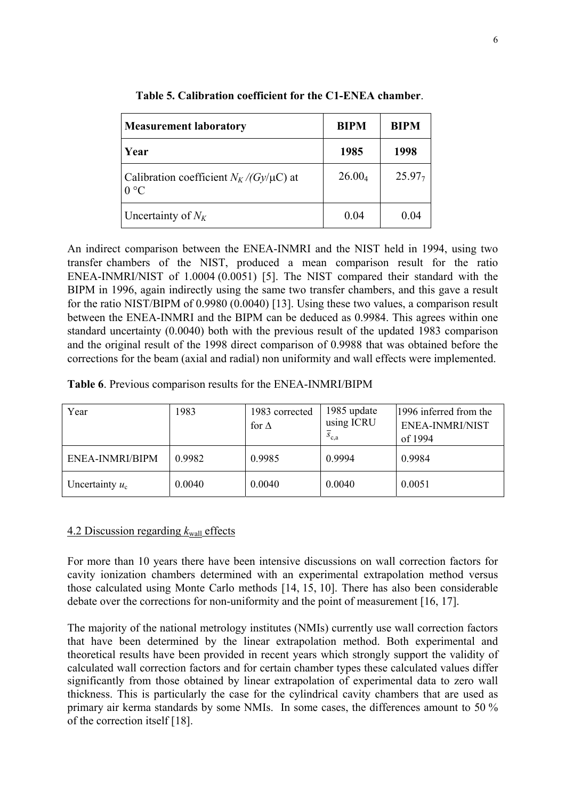| <b>Measurement laboratory</b>                                     | <b>BIPM</b>        | <b>BIPM</b>        |  |
|-------------------------------------------------------------------|--------------------|--------------------|--|
| Year                                                              | 1985               | 1998               |  |
| Calibration coefficient $N_K/(G_\text{V}/\mu\text{C})$ at<br>0 °C | 26.00 <sub>4</sub> | 25.97 <sub>7</sub> |  |
| Uncertainty of $N_K$                                              | 0.04               | 0.04               |  |

**Table 5. Calibration coefficient for the C1-ENEA chamber**.

An indirect comparison between the ENEA-INMRI and the NIST held in 1994, using two transfer chambers of the NIST, produced a mean comparison result for the ratio ENEA-INMRI/NIST of 1.0004 (0.0051) [5]. The NIST compared their standard with the BIPM in 1996, again indirectly using the same two transfer chambers, and this gave a result for the ratio NIST/BIPM of 0.9980 (0.0040) [13]. Using these two values, a comparison result between the ENEA-INMRI and the BIPM can be deduced as 0.9984. This agrees within one standard uncertainty (0.0040) both with the previous result of the updated 1983 comparison and the original result of the 1998 direct comparison of 0.9988 that was obtained before the corrections for the beam (axial and radial) non uniformity and wall effects were implemented.

|  |  |  |  |  | Table 6. Previous comparison results for the ENEA-INMRI/BIPM |
|--|--|--|--|--|--------------------------------------------------------------|
|--|--|--|--|--|--------------------------------------------------------------|

| Year              | 1983   | 1983 corrected<br>for $\Lambda$ | 1985 update<br>using ICRU<br>$S_{c,a}$ | 1996 inferred from the<br><b>ENEA-INMRI/NIST</b><br>of 1994 |
|-------------------|--------|---------------------------------|----------------------------------------|-------------------------------------------------------------|
| ENEA-INMRI/BIPM   | 0.9982 | 0.9985                          | 0.9994                                 | 0.9984                                                      |
| Uncertainty $u_c$ | 0.0040 | 0.0040                          | 0.0040                                 | 0.0051                                                      |

## 4.2 Discussion regarding *k*wall effects

For more than 10 years there have been intensive discussions on wall correction factors for cavity ionization chambers determined with an experimental extrapolation method versus those calculated using Monte Carlo methods [14, 15, 10]. There has also been considerable debate over the corrections for non-uniformity and the point of measurement [16, 17].

The majority of the national metrology institutes (NMIs) currently use wall correction factors that have been determined by the linear extrapolation method. Both experimental and theoretical results have been provided in recent years which strongly support the validity of calculated wall correction factors and for certain chamber types these calculated values differ significantly from those obtained by linear extrapolation of experimental data to zero wall thickness. This is particularly the case for the cylindrical cavity chambers that are used as primary air kerma standards by some NMIs. In some cases, the differences amount to 50 % of the correction itself [18].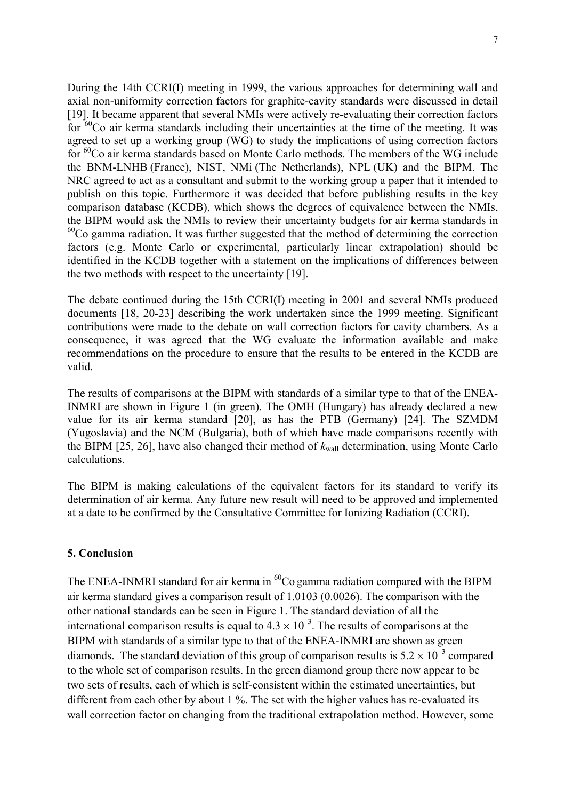During the 14th CCRI(I) meeting in 1999, the various approaches for determining wall and axial non-uniformity correction factors for graphite-cavity standards were discussed in detail [19]. It became apparent that several NMIs were actively re-evaluating their correction factors for  ${}^{60}$ Co air kerma standards including their uncertainties at the time of the meeting. It was agreed to set up a working group (WG) to study the implications of using correction factors for <sup>60</sup>Co air kerma standards based on Monte Carlo methods. The members of the WG include the BNM-LNHB (France), NIST, NMi (The Netherlands), NPL (UK) and the BIPM. The NRC agreed to act as a consultant and submit to the working group a paper that it intended to publish on this topic. Furthermore it was decided that before publishing results in the key comparison database (KCDB), which shows the degrees of equivalence between the NMIs, the BIPM would ask the NMIs to review their uncertainty budgets for air kerma standards in  $^{60}$ Co gamma radiation. It was further suggested that the method of determining the correction factors (e.g. Monte Carlo or experimental, particularly linear extrapolation) should be identified in the KCDB together with a statement on the implications of differences between the two methods with respect to the uncertainty [19].

The debate continued during the 15th CCRI(I) meeting in 2001 and several NMIs produced documents [18, 20-23] describing the work undertaken since the 1999 meeting. Significant contributions were made to the debate on wall correction factors for cavity chambers. As a consequence, it was agreed that the WG evaluate the information available and make recommendations on the procedure to ensure that the results to be entered in the KCDB are valid.

The results of comparisons at the BIPM with standards of a similar type to that of the ENEA-INMRI are shown in Figure 1 (in green). The OMH (Hungary) has already declared a new value for its air kerma standard [20], as has the PTB (Germany) [24]. The SZMDM (Yugoslavia) and the NCM (Bulgaria), both of which have made comparisons recently with the BIPM [25, 26], have also changed their method of  $k_{wall}$  determination, using Monte Carlo calculations.

The BIPM is making calculations of the equivalent factors for its standard to verify its determination of air kerma. Any future new result will need to be approved and implemented at a date to be confirmed by the Consultative Committee for Ionizing Radiation (CCRI).

## **5. Conclusion**

The ENEA-INMRI standard for air kerma in  ${}^{60}Co$  gamma radiation compared with the BIPM air kerma standard gives a comparison result of 1.0103 (0.0026). The comparison with the other national standards can be seen in Figure 1. The standard deviation of all the international comparison results is equal to  $4.3 \times 10^{-3}$ . The results of comparisons at the BIPM with standards of a similar type to that of the ENEA-INMRI are shown as green diamonds. The standard deviation of this group of comparison results is  $5.2 \times 10^{-3}$  compared to the whole set of comparison results. In the green diamond group there now appear to be two sets of results, each of which is self-consistent within the estimated uncertainties, but different from each other by about 1 %. The set with the higher values has re-evaluated its wall correction factor on changing from the traditional extrapolation method. However, some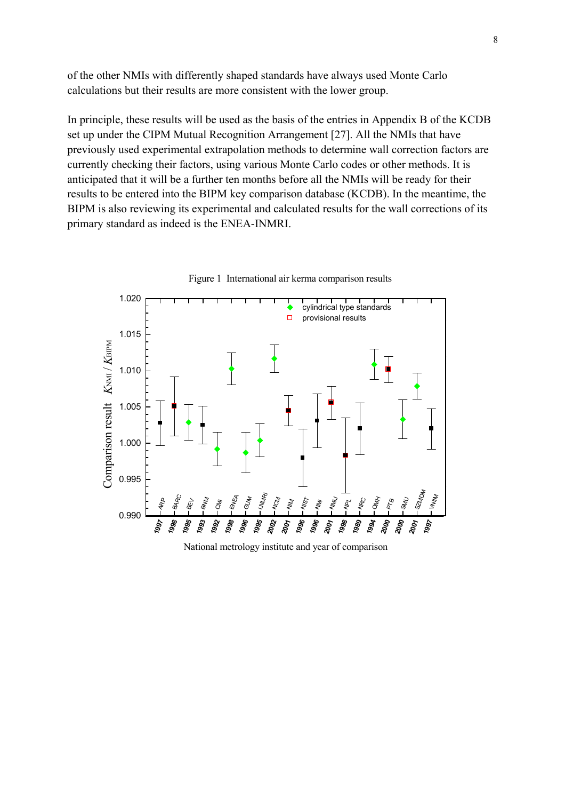of the other NMIs with differently shaped standards have always used Monte Carlo calculations but their results are more consistent with the lower group.

In principle, these results will be used as the basis of the entries in Appendix B of the KCDB set up under the CIPM Mutual Recognition Arrangement [27]. All the NMIs that have previously used experimental extrapolation methods to determine wall correction factors are currently checking their factors, using various Monte Carlo codes or other methods. It is anticipated that it will be a further ten months before all the NMIs will be ready for their results to be entered into the BIPM key comparison database (KCDB). In the meantime, the BIPM is also reviewing its experimental and calculated results for the wall corrections of its primary standard as indeed is the ENEA-INMRI.



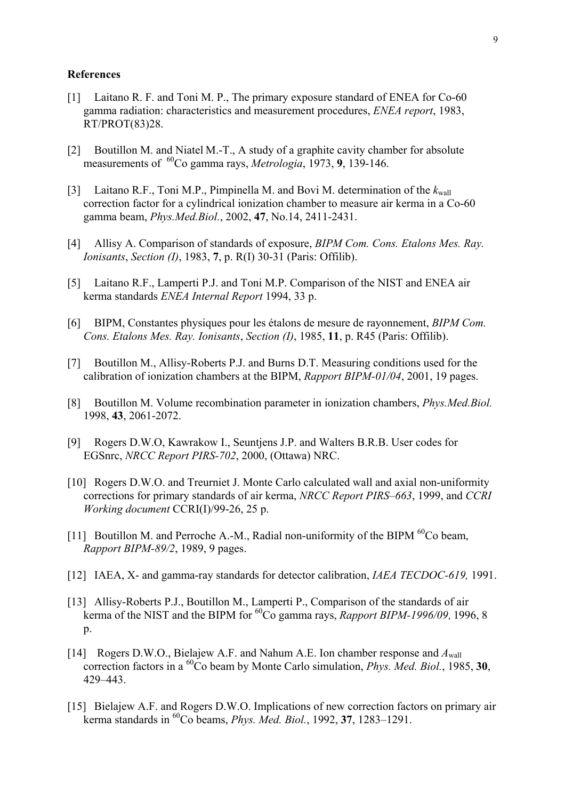#### **References**

- [1] Laitano R. F. and Toni M. P., The primary exposure standard of ENEA for Co-60 gamma radiation: characteristics and measurement procedures, *ENEA report*, 1983, RT/PROT(83)28.
- [2] Boutillon M. and Niatel M.-T., A study of a graphite cavity chamber for absolute measurements of <sup>60</sup>Co gamma rays, *Metrologia*, 1973, 9, 139-146.
- [3] Laitano R.F., Toni M.P., Pimpinella M. and Bovi M. determination of the  $k_{\text{wall}}$ correction factor for a cylindrical ionization chamber to measure air kerma in a Co-60 gamma beam, *Phys.Med.Biol.*, 2002, **47**, No.14, 2411-2431.
- [4] Allisy A. Comparison of standards of exposure, *BIPM Com. Cons. Etalons Mes. Ray. Ionisants*, *Section (I)*, 1983, **7**, p. R(I) 30-31 (Paris: Offilib).
- [5] Laitano R.F., Lamperti P.J. and Toni M.P. Comparison of the NIST and ENEA air kerma standards *ENEA Internal Report* 1994, 33 p.
- [6] BIPM, Constantes physiques pour les étalons de mesure de rayonnement, *BIPM Com. Cons. Etalons Mes. Ray. Ionisants*, *Section (I)*, 1985, **11**, p. R45 (Paris: Offilib).
- [7] Boutillon M., Allisy-Roberts P.J. and Burns D.T. Measuring conditions used for the calibration of ionization chambers at the BIPM, *Rapport BIPM-01/04*, 2001, 19 pages.
- [8] Boutillon M. Volume recombination parameter in ionization chambers, *Phys.Med.Biol.* 1998, **43**, 2061-2072.
- [9] Rogers D.W.O, Kawrakow I., Seuntjens J.P. and Walters B.R.B. User codes for EGSnrc, *NRCC Report PIRS-702*, 2000, (Ottawa) NRC.
- [10] Rogers D.W.O. and Treurniet J. Monte Carlo calculated wall and axial non-uniformity corrections for primary standards of air kerma, *NRCC Report PIRS–663*, 1999, and *CCRI Working document* CCRI(I)/99-26, 25 p.
- [11] Boutillon M. and Perroche A.-M., Radial non-uniformity of the BIPM  ${}^{60}Co$  beam, *Rapport BIPM-89/2*, 1989, 9 pages.
- [12] IAEA, X- and gamma-ray standards for detector calibration, *IAEA TECDOC-619,* 1991.
- [13] Allisy-Roberts P.J., Boutillon M., Lamperti P., Comparison of the standards of air kerma of the NIST and the BIPM for <sup>60</sup>Co gamma rays, *Rapport BIPM-1996/09*, 1996, 8  $p_{\cdot}$
- [14] Rogers D.W.O., Bielajew A.F. and Nahum A.E. Ion chamber response and *A*wall correction factors in a 60Co beam by Monte Carlo simulation, *Phys. Med. Biol.*, 1985, **30**, 429–443.
- [15] Bielajew A.F. and Rogers D.W.O. Implications of new correction factors on primary air kerma standards in 60Co beams, *Phys. Med. Biol.*, 1992, **37**, 1283–1291.